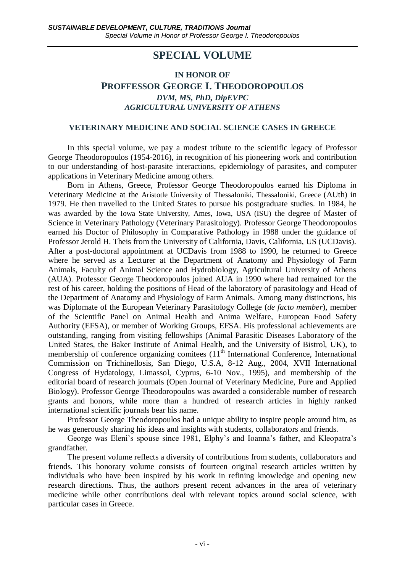# **SPECIAL VOLUME**

#### **IN HONOR OF**

# **PROFFESSOR GEORGE I. THEODOROPOULOS** *DVM, MS, PhD, DipEVPC AGRICULTURAL UNIVERSITY OF ATHENS*

#### **VETERINARY MEDICINE AND SOCIAL SCIENCE CASES IN GREECE**

In this special volume, we pay a modest tribute to the scientific legacy of Professor George Theodoropoulos (1954-2016), in recognition of his pioneering work and contribution to our understanding of host-parasite interactions, epidemiology of parasites, and computer applications in Veterinary Medicine among others.

Born in Athens, Greece, Professor George Theodoropoulos earned his Diploma in Veterinary Medicine at the Aristotle University of Thessaloniki, Thessaloniki, Greece (AUth) in 1979. He then travelled to the United States to pursue his postgraduate studies. In 1984, he was awarded by the Iowa State University, Ames, Iowa, USA (ISU) the degree of Master of Science in Veterinary Pathology (Veterinary Parasitology). Professor George Theodoropoulos earned his Doctor of Philosophy in Comparative Pathology in 1988 under the guidance of Professor Jerold H. Theis from the University of California, Davis, California, US (UCDavis). After a post-doctoral appointment at UCDavis from 1988 to 1990, he returned to Greece where he served as a Lecturer at the Department of Anatomy and Physiology of Farm Animals, Faculty of Animal Science and Hydrobiology, Agricultural University of Athens (AUA). Professor George Theodoropoulos joined AUA in 1990 where had remained for the rest of his career, holding the positions of Head of the laboratory of parasitology and Head of the Department of Anatomy and Physiology of Farm Animals. Among many distinctions, his was Diplomate of the European Veterinary Parasitology College (*de facto member*), member of the Scientific Panel on Animal Health and Anima Welfare, European Food Safety Authority (EFSA), or member of Working Groups, EFSA. His professional achievements are outstanding, ranging from visiting fellowships (Animal Parasitic Diseases Laboratory of the United States, the Baker Institute of Animal Health, and the University of Bistrol, UK), to membership of conference organizing comitees  $(11<sup>th</sup>$  International Conference, International Commission on Trichinellosis, San Diego, U.S.A, 8-12 Aug., 2004, XVII International Congress of Hydatology, Limassol, Cyprus, 6-10 Nov., 1995), and membership of the editorial board of research journals (Open Journal of Veterinary Medicine, Pure and Applied Biology). Professor George Theodoropoulos was awarded a considerable number of research grants and honors, while more than a hundred of research articles in highly ranked international scientific journals bear his name.

Professor George Theodoropoulos had a unique ability to inspire people around him, as he was generously sharing his ideas and insights with students, collaborators and friends.

George was Eleni's spouse since 1981, Elphy's and Ioanna's father, and Kleopatra's grandfather.

The present volume reflects a diversity of contributions from students, collaborators and friends. This honorary volume consists of fourteen original research articles written by individuals who have been inspired by his work in refining knowledge and opening new research directions. Thus, the authors present recent advances in the area of veterinary medicine while other contributions deal with relevant topics around social science, with particular cases in Greece.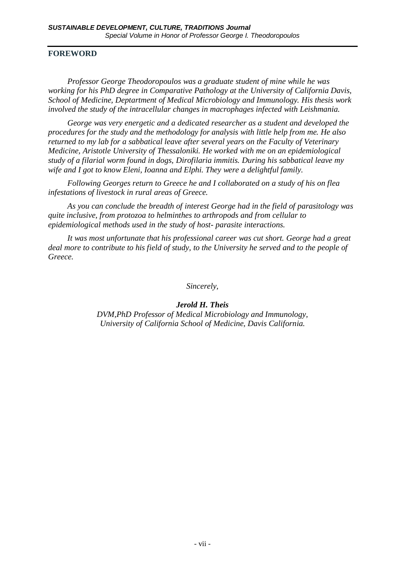# **FOREWORD**

*Professor George Theodoropoulos was a graduate student of mine while he was working for his PhD degree in Comparative Pathology at the University of California Davis, School of Medicine, Deptartment of Medical Microbiology and Immunology. His thesis work involved the study of the intracellular changes in macrophages infected with Leishmania.*

*George was very energetic and a dedicated researcher as a student and developed the procedures for the study and the methodology for analysis with little help from me. He also returned to my lab for a sabbatical leave after several years on the Faculty of Veterinary Medicine, Aristotle University of Thessaloniki. He worked with me on an epidemiological study of a filarial worm found in dogs, Dirofilaria immitis. During his sabbatical leave my wife and I got to know Eleni, Ioanna and Elphi. They were a delightful family.*

*Following Georges return to Greece he and I collaborated on a study of his on flea infestations of livestock in rural areas of Greece.* 

*As you can conclude the breadth of interest George had in the field of parasitology was quite inclusive, from protozoa to helminthes to arthropods and from cellular to epidemiological methods used in the study of host- parasite interactions.*

*It was most unfortunate that his professional career was cut short. George had a great deal more to contribute to his field of study, to the University he served and to the people of Greece.*

*Sincerely,*

*Jerold H. Theis*

*DVM,PhD Professor of Medical Microbiology and Immunology, University of California School of Medicine, Davis California.*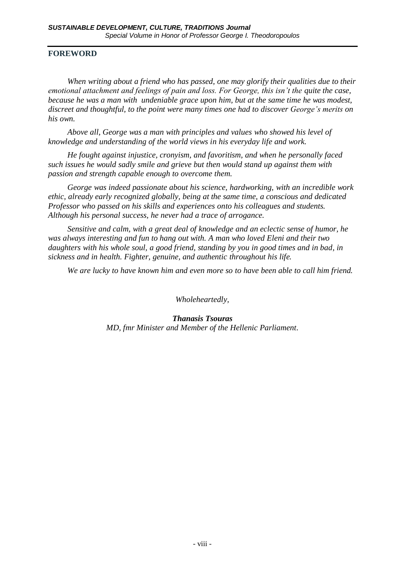# **FOREWORD**

*When writing about a friend who has passed, one may glorify their qualities due to their emotional attachment and feelings of pain and loss. For George, this isn't the quite the case, because he was a man with undeniable grace upon him, but at the same time he was modest, discreet and thoughtful, to the point were many times one had to discover George's merits on his own.*

*Above all, George was a man with principles and values who showed his level of knowledge and understanding of the world views in his everyday life and work.*

*He fought against injustice, cronyism, and favoritism, and when he personally faced such issues he would sadly smile and grieve but then would stand up against them with passion and strength capable enough to overcome them.*

*George was indeed passionate about his science, hardworking, with an incredible work ethic, already early recognized globally, being at the same time, a conscious and dedicated Professor who passed on his skills and experiences onto his colleagues and students. Although his personal success, he never had a trace of arrogance.* 

*Sensitive and calm, with a great deal of knowledge and an eclectic sense of humor, he was always interesting and fun to hang out with. A man who loved Eleni and their two daughters with his whole soul, a good friend, standing by you in good times and in bad, in sickness and in health. Fighter, genuine, and authentic throughout his life.*

*We are lucky to have known him and even more so to have been able to call him friend.*

*Wholeheartedly,*

*Thanasis Tsouras MD, fmr Minister and Member of the Hellenic Parliament.*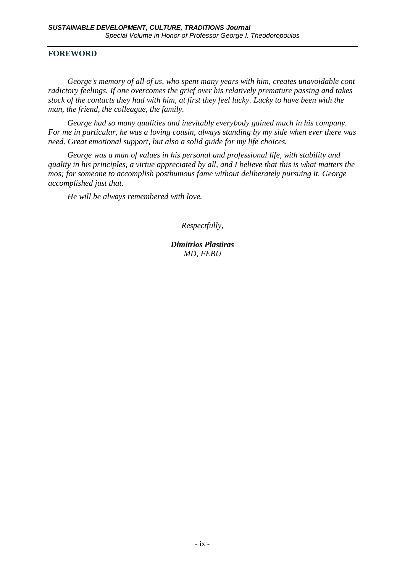### **FOREWORD**

*George's memory of all of us, who spent many years with him, creates unavoidable cont radictory feelings. If one overcomes the grief over his relatively premature passing and takes stock of the contacts they had with him, at first they feel lucky. Lucky to have been with the man, the friend, the colleague, the family.*

*George had so many qualities and inevitably everybody gained much in his company. For me in particular, he was a loving cousin, always standing by my side when ever there was need. Great emotional support, but also a solid guide for my life choices.*

*George was a man of values in his personal and professional life, with stability and quality in his principles, a virtue appreciated by all, and I believe that this is what matters the mos; for someone to accomplish posthumous fame without deliberately pursuing it. George accomplished just that.*

*He will be always remembered with love.*

*Respectfully,*

*Dimitrios Plastiras MD, FEBU*